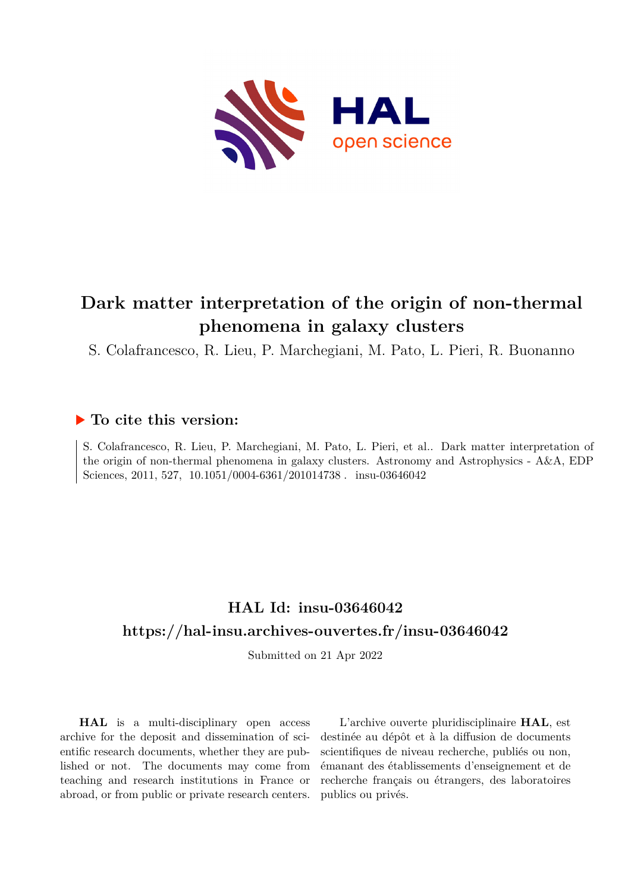

# **Dark matter interpretation of the origin of non-thermal phenomena in galaxy clusters**

S. Colafrancesco, R. Lieu, P. Marchegiani, M. Pato, L. Pieri, R. Buonanno

## **To cite this version:**

S. Colafrancesco, R. Lieu, P. Marchegiani, M. Pato, L. Pieri, et al.. Dark matter interpretation of the origin of non-thermal phenomena in galaxy clusters. Astronomy and Astrophysics - A&A, EDP Sciences, 2011, 527,  $10.1051/0004-6361/201014738$ . insu-03646042

# **HAL Id: insu-03646042 <https://hal-insu.archives-ouvertes.fr/insu-03646042>**

Submitted on 21 Apr 2022

**HAL** is a multi-disciplinary open access archive for the deposit and dissemination of scientific research documents, whether they are published or not. The documents may come from teaching and research institutions in France or abroad, or from public or private research centers.

L'archive ouverte pluridisciplinaire **HAL**, est destinée au dépôt et à la diffusion de documents scientifiques de niveau recherche, publiés ou non, émanant des établissements d'enseignement et de recherche français ou étrangers, des laboratoires publics ou privés.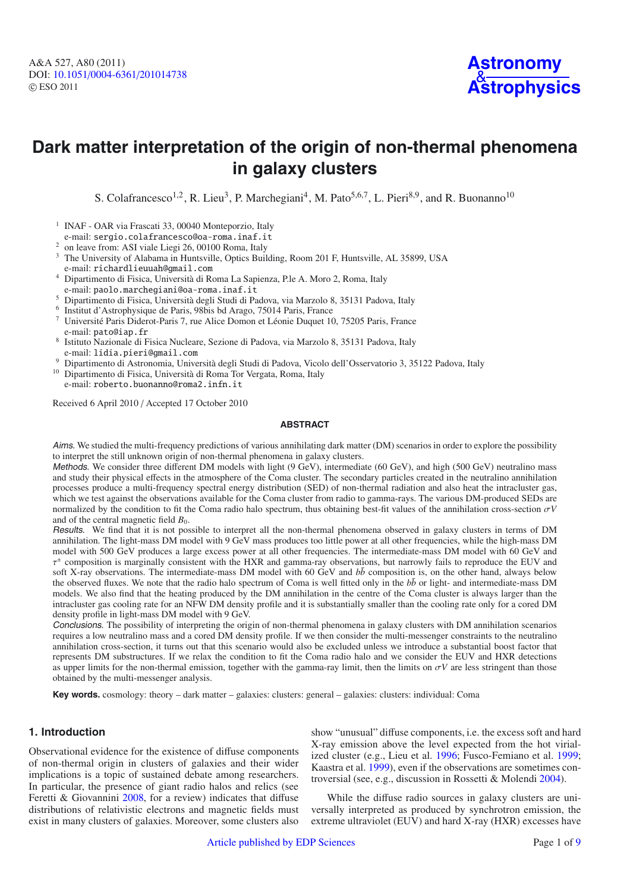

# **Dark matter interpretation of the origin of non-thermal phenomena in galaxy clusters**

S. Colafrancesco<sup>1,2</sup>, R. Lieu<sup>3</sup>, P. Marchegiani<sup>4</sup>, M. Pato<sup>5,6,7</sup>, L. Pieri<sup>8,9</sup>, and R. Buonanno<sup>10</sup>

- <sup>1</sup> INAF OAR via Frascati 33, 00040 Monteporzio, Italy e-mail: sergio.colafrancesco@oa-roma.inaf.it
- <sup>2</sup> on leave from: ASI viale Liegi 26, 00100 Roma, Italy
- <sup>3</sup> The University of Alabama in Huntsville, Optics Building, Room 201 F, Huntsville, AL 35899, USA e-mail: richardlieuuah@gmail.com
- <sup>4</sup> Dipartimento di Fisica, Università di Roma La Sapienza, P.le A. Moro 2, Roma, Italy e-mail: paolo.marchegiani@oa-roma.inaf.it
- <sup>5</sup> Dipartimento di Fisica, Università degli Studi di Padova, via Marzolo 8, 35131 Padova, Italy
- <sup>6</sup> Institut d'Astrophysique de Paris, 98bis bd Arago, 75014 Paris, France
- <sup>7</sup> Université Paris Diderot-Paris 7, rue Alice Domon et Léonie Duquet 10, 75205 Paris, France e-mail: pato@iap.fr
- <sup>8</sup> Istituto Nazionale di Fisica Nucleare, Sezione di Padova, via Marzolo 8, 35131 Padova, Italy e-mail: lidia.pieri@gmail.com
- <sup>9</sup> Dipartimento di Astronomia, Università degli Studi di Padova, Vicolo dell'Osservatorio 3, 35122 Padova, Italy
- <sup>10</sup> Dipartimento di Fisica, Università di Roma Tor Vergata, Roma, Italy e-mail: roberto.buonanno@roma2.infn.it

Received 6 April 2010 / Accepted 17 October 2010

### **ABSTRACT**

Aims. We studied the multi-frequency predictions of various annihilating dark matter (DM) scenarios in order to explore the possibility to interpret the still unknown origin of non-thermal phenomena in galaxy clusters.

Methods. We consider three different DM models with light (9 GeV), intermediate (60 GeV), and high (500 GeV) neutralino mass and study their physical effects in the atmosphere of the Coma cluster. The secondary particles created in the neutralino annihilation processes produce a multi-frequency spectral energy distribution (SED) of non-thermal radiation and also heat the intracluster gas, which we test against the observations available for the Coma cluster from radio to gamma-rays. The various DM-produced SEDs are normalized by the condition to fit the Coma radio halo spectrum, thus obtaining best-fit values of the annihilation cross-section σ*V* and of the central magnetic field  $B_0$ .

Results. We find that it is not possible to interpret all the non-thermal phenomena observed in galaxy clusters in terms of DM annihilation. The light-mass DM model with 9 GeV mass produces too little power at all other frequencies, while the high-mass DM model with 500 GeV produces a large excess power at all other frequencies. The intermediate-mass DM model with 60 GeV and  $\tau^{\pm}$  composition is marginally consistent with the HXR and gamma-ray observations, but narrowly fails to reproduce the EUV and soft X-ray observations. The intermediate-mass DM model with 60 GeV and  $b\bar{b}$  composition is, on the other hand, always below the observed fluxes. We note that the radio halo spectrum of Coma is well fitted only in the  $b\bar{b}$  or light- and intermediate-mass DM models. We also find that the heating produced by the DM annihilation in the centre of the Coma cluster is always larger than the intracluster gas cooling rate for an NFW DM density profile and it is substantially smaller than the cooling rate only for a cored DM density profile in light-mass DM model with 9 GeV.

Conclusions. The possibility of interpreting the origin of non-thermal phenomena in galaxy clusters with DM annihilation scenarios requires a low neutralino mass and a cored DM density profile. If we then consider the multi-messenger constraints to the neutralino annihilation cross-section, it turns out that this scenario would also be excluded unless we introduce a substantial boost factor that represents DM substructures. If we relax the condition to fit the Coma radio halo and we consider the EUV and HXR detections as upper limits for the non-thermal emission, together with the gamma-ray limit, then the limits on σ*V* are less stringent than those obtained by the multi-messenger analysis.

**Key words.** cosmology: theory – dark matter – galaxies: clusters: general – galaxies: clusters: individual: Coma

### **1. Introduction**

Observational evidence for the existence of diffuse components of non-thermal origin in clusters of galaxies and their wider implications is a topic of sustained debate among researchers. In particular, the presence of giant radio halos and relics (see Feretti & Giovannini 2008, for a review) indicates that diffuse distributions of relativistic electrons and magnetic fields must exist in many clusters of galaxies. Moreover, some clusters also

show "unusual" diffuse components, i.e. the excess soft and hard X-ray emission above the level expected from the hot virialized cluster (e.g., Lieu et al. 1996; Fusco-Femiano et al. 1999; Kaastra et al. 1999), even if the observations are sometimes controversial (see, e.g., discussion in Rossetti & Molendi 2004).

While the diffuse radio sources in galaxy clusters are universally interpreted as produced by synchrotron emission, the extreme ultraviolet (EUV) and hard X-ray (HXR) excesses have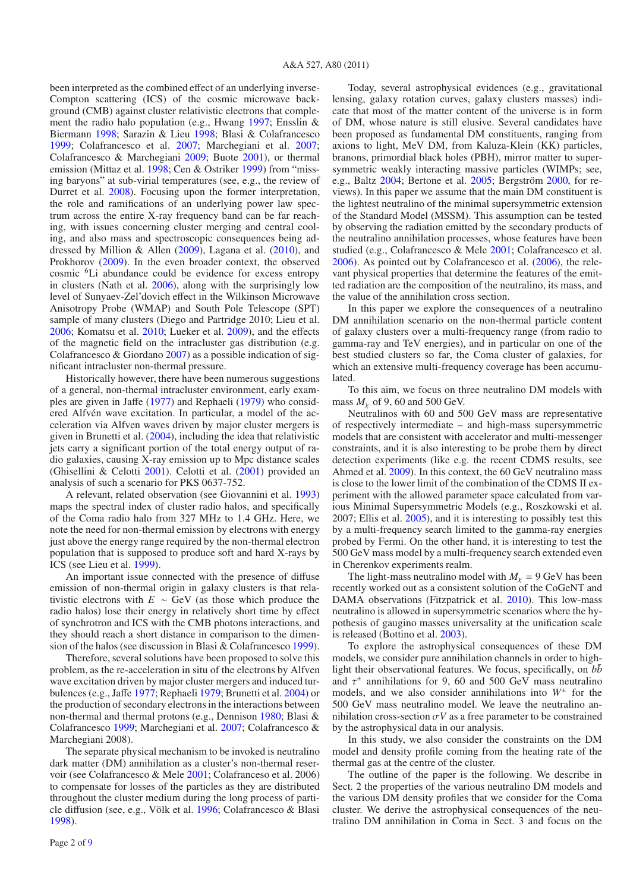been interpreted as the combined effect of an underlying inverse-Compton scattering (ICS) of the cosmic microwave background (CMB) against cluster relativistic electrons that complement the radio halo population (e.g., Hwang 1997; Ensslin & Biermann 1998; Sarazin & Lieu 1998; Blasi & Colafrancesco 1999; Colafrancesco et al. 2007; Marchegiani et al. 2007; Colafrancesco & Marchegiani 2009; Buote 2001), or thermal emission (Mittaz et al. 1998; Cen & Ostriker 1999) from "missing baryons" at sub-virial temperatures (see, e.g., the review of Durret et al. 2008). Focusing upon the former interpretation, the role and ramifications of an underlying power law spectrum across the entire X-ray frequency band can be far reaching, with issues concerning cluster merging and central cooling, and also mass and spectroscopic consequences being addressed by Million & Allen (2009), Lagana et al. (2010), and Prokhorov (2009). In the even broader context, the observed cosmic 6Li abundance could be evidence for excess entropy in clusters (Nath et al. 2006), along with the surprisingly low level of Sunyaev-Zel'dovich effect in the Wilkinson Microwave Anisotropy Probe (WMAP) and South Pole Telescope (SPT) sample of many clusters (Diego and Partridge 2010; Lieu et al. 2006; Komatsu et al. 2010; Lueker et al. 2009), and the effects of the magnetic field on the intracluster gas distribution (e.g. Colafrancesco  $& Giordano 2007$  as a possible indication of significant intracluster non-thermal pressure.

Historically however, there have been numerous suggestions of a general, non-thermal intracluster environment, early examples are given in Jaffe (1977) and Rephaeli (1979) who considered Alfvén wave excitation. In particular, a model of the acceleration via Alfven waves driven by major cluster mergers is given in Brunetti et al. (2004), including the idea that relativistic jets carry a significant portion of the total energy output of radio galaxies, causing X-ray emission up to Mpc distance scales (Ghisellini & Celotti 2001). Celotti et al. (2001) provided an analysis of such a scenario for PKS 0637-752.

A relevant, related observation (see Giovannini et al. 1993) maps the spectral index of cluster radio halos, and specifically of the Coma radio halo from 327 MHz to 1.4 GHz. Here, we note the need for non-thermal emission by electrons with energy just above the energy range required by the non-thermal electron population that is supposed to produce soft and hard X-rays by ICS (see Lieu et al. 1999).

An important issue connected with the presence of diffuse emission of non-thermal origin in galaxy clusters is that relativistic electrons with  $E \sim$  GeV (as those which produce the radio halos) lose their energy in relatively short time by effect of synchrotron and ICS with the CMB photons interactions, and they should reach a short distance in comparison to the dimension of the halos (see discussion in Blasi & Colafrancesco 1999).

Therefore, several solutions have been proposed to solve this problem, as the re-acceleration in situ of the electrons by Alfven wave excitation driven by major cluster mergers and induced turbulences (e.g., Jaffe 1977; Rephaeli 1979; Brunetti et al. 2004) or the production of secondary electrons in the interactions between non-thermal and thermal protons (e.g., Dennison 1980; Blasi & Colafrancesco 1999; Marchegiani et al. 2007; Colafrancesco & Marchegiani 2008).

The separate physical mechanism to be invoked is neutralino dark matter (DM) annihilation as a cluster's non-thermal reservoir (see Colafrancesco & Mele 2001; Colafranceso et al. 2006) to compensate for losses of the particles as they are distributed throughout the cluster medium during the long process of particle diffusion (see, e.g., Völk et al. 1996; Colafrancesco & Blasi 1998).

Today, several astrophysical evidences (e.g., gravitational lensing, galaxy rotation curves, galaxy clusters masses) indicate that most of the matter content of the universe is in form of DM, whose nature is still elusive. Several candidates have been proposed as fundamental DM constituents, ranging from axions to light, MeV DM, from Kaluza-Klein (KK) particles, branons, primordial black holes (PBH), mirror matter to supersymmetric weakly interacting massive particles (WIMPs; see, e.g., Baltz 2004; Bertone et al. 2005; Bergström 2000, for reviews). In this paper we assume that the main DM constituent is the lightest neutralino of the minimal supersymmetric extension of the Standard Model (MSSM). This assumption can be tested by observing the radiation emitted by the secondary products of the neutralino annihilation processes, whose features have been studied (e.g., Colafrancesco & Mele 2001; Colafrancesco et al. 2006). As pointed out by Colafrancesco et al. (2006), the relevant physical properties that determine the features of the emitted radiation are the composition of the neutralino, its mass, and the value of the annihilation cross section.

In this paper we explore the consequences of a neutralino DM annihilation scenario on the non-thermal particle content of galaxy clusters over a multi-frequency range (from radio to gamma-ray and TeV energies), and in particular on one of the best studied clusters so far, the Coma cluster of galaxies, for which an extensive multi-frequency coverage has been accumulated.

To this aim, we focus on three neutralino DM models with mass  $M_v$  of 9, 60 and 500 GeV.

Neutralinos with 60 and 500 GeV mass are representative of respectively intermediate – and high-mass supersymmetric models that are consistent with accelerator and multi-messenger constraints, and it is also interesting to be probe them by direct detection experiments (like e.g. the recent CDMS results, see Ahmed et al. 2009). In this context, the 60 GeV neutralino mass is close to the lower limit of the combination of the CDMS II experiment with the allowed parameter space calculated from various Minimal Supersymmetric Models (e.g., Roszkowski et al. 2007; Ellis et al. 2005), and it is interesting to possibly test this by a multi-frequency search limited to the gamma-ray energies probed by Fermi. On the other hand, it is interesting to test the 500 GeV mass model by a multi-frequency search extended even in Cherenkov experiments realm.

The light-mass neutralino model with  $M<sub>x</sub> = 9$  GeV has been recently worked out as a consistent solution of the CoGeNT and DAMA observations (Fitzpatrick et al. 2010). This low-mass neutralino is allowed in supersymmetric scenarios where the hypothesis of gaugino masses universality at the unification scale is released (Bottino et al. 2003).

To explore the astrophysical consequences of these DM models, we consider pure annihilation channels in order to highlight their observational features. We focus, specifically, on  $b\bar{b}$ and  $\tau^{\pm}$  annihilations for 9, 60 and 500 GeV mass neutralino models, and we also consider annihilations into  $W^{\pm}$  for the 500 GeV mass neutralino model. We leave the neutralino annihilation cross-section  $\sigma V$  as a free parameter to be constrained by the astrophysical data in our analysis.

In this study, we also consider the constraints on the DM model and density profile coming from the heating rate of the thermal gas at the centre of the cluster.

The outline of the paper is the following. We describe in Sect. 2 the properties of the various neutralino DM models and the various DM density profiles that we consider for the Coma cluster. We derive the astrophysical consequences of the neutralino DM annihilation in Coma in Sect. 3 and focus on the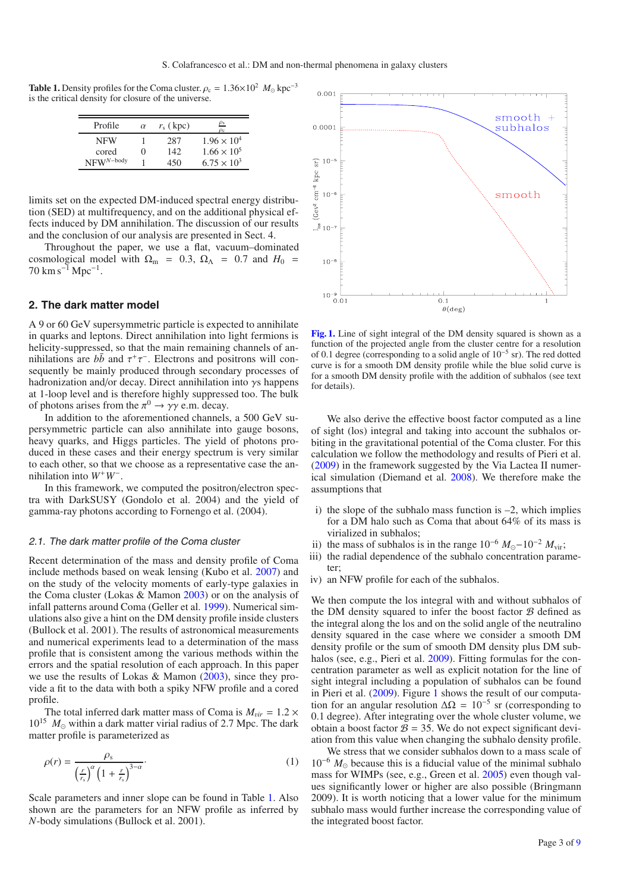**Table 1.** Density profiles for the Coma cluster.  $\rho_c = 1.36 \times 10^2$  *M*<sub>o</sub> kpc<sup>-3</sup> is the critical density for closure of the universe.

| Profile        | $\alpha$          | $r_{\rm s}$ (kpc) | $\mathbf{\underline{\rho_{s}}}$<br>$O_C$ |
|----------------|-------------------|-------------------|------------------------------------------|
| <b>NFW</b>     |                   | 287               | $1.96 \times 10^{4}$                     |
| cored          | $\mathbf{\Omega}$ | 142               | $1.66 \times 10^{5}$                     |
| $NFW^{N-body}$ |                   | 450               | $6.75 \times 10^{3}$                     |

limits set on the expected DM-induced spectral energy distribution (SED) at multifrequency, and on the additional physical effects induced by DM annihilation. The discussion of our results and the conclusion of our analysis are presented in Sect. 4.

Throughout the paper, we use a flat, vacuum–dominated cosmological model with  $\Omega_{\rm m}$  = 0.3,  $\Omega_{\Lambda}$  = 0.7 and  $H_0$  =  $70 \text{ km s}^{-1} \text{ Mpc}^{-1}$ .

#### **2. The dark matter model**

A 9 or 60 GeV supersymmetric particle is expected to annihilate in quarks and leptons. Direct annihilation into light fermions is helicity-suppressed, so that the main remaining channels of annihilations are  $b\bar{b}$  and  $\tau^+\tau^-$ . Electrons and positrons will consequently be mainly produced through secondary processes of hadronization and/or decay. Direct annihilation into  $\gamma s$  happens at 1-loop level and is therefore highly suppressed too. The bulk of photons arises from the  $\pi^0 \rightarrow \gamma \gamma$  e.m. decay.

In addition to the aforementioned channels, a 500 GeV supersymmetric particle can also annihilate into gauge bosons, heavy quarks, and Higgs particles. The yield of photons produced in these cases and their energy spectrum is very similar to each other, so that we choose as a representative case the annihilation into *W*+*W*−.

In this framework, we computed the positron/electron spectra with DarkSUSY (Gondolo et al. 2004) and the yield of gamma-ray photons according to Fornengo et al. (2004).

### 2.1. The dark matter profile of the Coma cluster

Recent determination of the mass and density profile of Coma include methods based on weak lensing (Kubo et al. 2007) and on the study of the velocity moments of early-type galaxies in the Coma cluster (Lokas & Mamon 2003) or on the analysis of infall patterns around Coma (Geller et al. 1999). Numerical simulations also give a hint on the DM density profile inside clusters (Bullock et al. 2001). The results of astronomical measurements and numerical experiments lead to a determination of the mass profile that is consistent among the various methods within the errors and the spatial resolution of each approach. In this paper we use the results of Lokas & Mamon (2003), since they provide a fit to the data with both a spiky NFW profile and a cored profile.

The total inferred dark matter mass of Coma is  $M_{vir} = 1.2 \times$  $10^{15}$   $M_{\odot}$  within a dark matter virial radius of 2.7 Mpc. The dark matter profile is parameterized as

$$
\rho(r) = \frac{\rho_s}{\left(\frac{r}{r_s}\right)^{\alpha} \left(1 + \frac{r}{r_s}\right)^{3-\alpha}}.
$$
\n(1)

Scale parameters and inner slope can be found in Table 1. Also shown are the parameters for an NFW profile as inferred by *N*-body simulations (Bullock et al. 2001).



[Fig. 1.](http://dexter.edpsciences.org/applet.php?DOI=10.1051/0004-6361/201014738&pdf_id=1) Line of sight integral of the DM density squared is shown as a function of the projected angle from the cluster centre for a resolution of 0.1 degree (corresponding to a solid angle of 10−<sup>5</sup> sr). The red dotted curve is for a smooth DM density profile while the blue solid curve is for a smooth DM density profile with the addition of subhalos (see text for details).

We also derive the effective boost factor computed as a line of sight (los) integral and taking into account the subhalos orbiting in the gravitational potential of the Coma cluster. For this calculation we follow the methodology and results of Pieri et al. (2009) in the framework suggested by the Via Lactea II numerical simulation (Diemand et al. 2008). We therefore make the assumptions that

- i) the slope of the subhalo mass function is  $-2$ , which implies for a DM halo such as Coma that about 64% of its mass is virialized in subhalos;
- ii) the mass of subhalos is in the range  $10^{-6} M_{\odot}$   $10^{-2} M_{\text{vir}}$ ;
- iii) the radial dependence of the subhalo concentration parameter;
- iv) an NFW profile for each of the subhalos.

We then compute the los integral with and without subhalos of the DM density squared to infer the boost factor  $B$  defined as the integral along the los and on the solid angle of the neutralino density squared in the case where we consider a smooth DM density profile or the sum of smooth DM density plus DM subhalos (see, e.g., Pieri et al. 2009). Fitting formulas for the concentration parameter as well as explicit notation for the line of sight integral including a population of subhalos can be found in Pieri et al.  $(2009)$ . Figure 1 shows the result of our computation for an angular resolution  $\Delta\Omega = 10^{-5}$  sr (corresponding to 0.1 degree). After integrating over the whole cluster volume, we obtain a boost factor  $B = 35$ . We do not expect significant deviation from this value when changing the subhalo density profile.

We stress that we consider subhalos down to a mass scale of 10<sup>-6</sup>  $M_{\odot}$  because this is a fiducial value of the minimal subhalo mass for WIMPs (see, e.g., Green et al. 2005) even though values significantly lower or higher are also possible (Bringmann 2009). It is worth noticing that a lower value for the minimum subhalo mass would further increase the corresponding value of the integrated boost factor.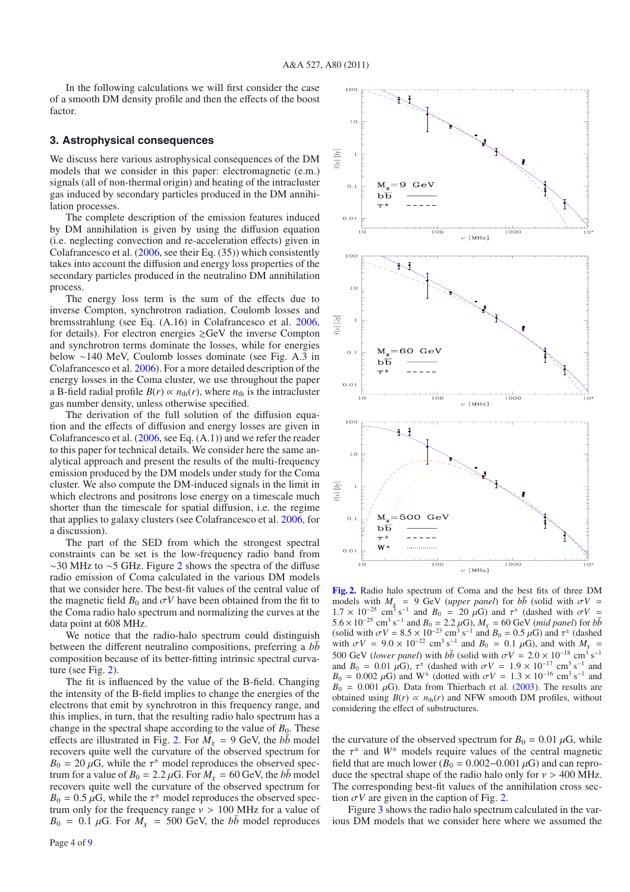In the following calculations we will first consider the case of a smooth DM density profile and then the effects of the boost factor.

#### **3. Astrophysical consequences**

We discuss here various astrophysical consequences of the DM models that we consider in this paper: electromagnetic (e.m.) signals (all of non-thermal origin) and heating of the intracluster gas induced by secondary particles produced in the DM annihilation processes.

The complete description of the emission features induced by DM annihilation is given by using the diffusion equation (i.e. neglecting convection and re-acceleration effects) given in Colafrancesco et al. (2006, see their Eq. (35)) which consistently takes into account the diffusion and energy loss properties of the secondary particles produced in the neutralino DM annihilation process.

The energy loss term is the sum of the effects due to inverse Compton, synchrotron radiation, Coulomb losses and bremsstrahlung (see Eq. (A.16) in Colafrancesco et al. 2006, for details). For electron energies  $\gtrsim$  GeV the inverse Compton and synchrotron terms dominate the losses, while for energies below ∼140 MeV, Coulomb losses dominate (see Fig. A.3 in Colafrancesco et al. 2006). For a more detailed description of the energy losses in the Coma cluster, we use throughout the paper a B-field radial profile  $B(r) \propto n_{\text{th}}(r)$ , where  $n_{\text{th}}$  is the intracluster gas number density, unless otherwise specified.

The derivation of the full solution of the diffusion equation and the effects of diffusion and energy losses are given in Colafrancesco et al. (2006, see Eq. (A.1)) and we refer the reader to this paper for technical details. We consider here the same analytical approach and present the results of the multi-frequency emission produced by the DM models under study for the Coma cluster. We also compute the DM-induced signals in the limit in which electrons and positrons lose energy on a timescale much shorter than the timescale for spatial diffusion, i.e. the regime that applies to galaxy clusters (see Colafrancesco et al. 2006, for a discussion).

The part of the SED from which the strongest spectral constraints can be set is the low-frequency radio band from ∼30 MHz to ∼5 GHz. Figure 2 shows the spectra of the diffuse radio emission of Coma calculated in the various DM models that we consider here. The best-fit values of the central value of the magnetic field  $B_0$  and  $\sigma V$  have been obtained from the fit to the Coma radio halo spectrum and normalizing the curves at the data point at 608 MHz.

We notice that the radio-halo spectrum could distinguish between the different neutralino compositions, preferring a *bb* composition because of its better-fitting intrinsic spectral curvature (see Fig. 2).

The fit is influenced by the value of the B-field. Changing the intensity of the B-field implies to change the energies of the electrons that emit by synchrotron in this frequency range, and this implies, in turn, that the resulting radio halo spectrum has a change in the spectral shape according to the value of  $B_0$ . These effects are illustrated in Fig. 2. For  $M<sub>x</sub> = 9$  GeV, the  $b\bar{b}$  model recovers quite well the curvature of the observed spectrum for  $B_0 = 20 \mu G$ , while the  $\tau^{\pm}$  model reproduces the observed spectrum for a value of  $B_0 = 2.2 \mu G$ . For  $M<sub>x</sub> = 60 \text{ GeV}$ , the  $b\bar{b}$  model recovers quite well the curvature of the observed spectrum for  $B_0 = 0.5 \,\mu\text{G}$ , while the  $\tau^{\pm}$  model reproduces the observed spectrum only for the frequency range  $v > 100$  MHz for a value of  $B_0 = 0.1 \mu G$ . For  $M_{\chi} = 500 \text{ GeV}$ , the *bb* model reproduces



**[Fig. 2.](http://dexter.edpsciences.org/applet.php?DOI=10.1051/0004-6361/201014738&pdf_id=2)** Radio halo spectrum of Coma and the best fits of three DM models with  $M_{\chi}$  = 9 GeV (*upper panel*) for  $b\bar{b}$  (solid with  $\sigma V$  =  $1.7 \times 10^{-25}$  cm<sup>3</sup> s<sup>-1</sup> and  $B_0 = 20 \mu\text{G}$ ) and  $\tau^{\pm}$  (dashed with  $\sigma V =$ 5.6 × 10<sup>−25</sup> cm<sup>3</sup> s<sup>−1</sup> and *B*<sub>0</sub> = 2.2 μG),  $M_\chi$  = 60 GeV (*mid panel*) for *bb*<sup> $\overline{b}$ </sup> (solid with  $\sigma V = 8.5 \times 10^{-23}$  cm<sup>3</sup> s<sup>-1</sup> and  $B_0 = 0.5 \mu G$ ) and  $\tau^{\pm}$  (dashed with  $\sigma V = 9.0 \times 10^{-22}$  cm<sup>3</sup> s<sup>-1</sup> and  $B_0 = 0.1 \mu G$ , and with  $M_{\chi}$ 500 GeV (*lower panel*) with  $b\bar{b}$  (solid with  $\sigma V = 2.0 \times 10^{-18} \text{ cm}^3 \text{ s}^{-1}$ and  $B_0 = 0.01 \mu G$ ,  $\tau^{\pm}$  (dashed with  $\sigma V = 1.9 \times 10^{-17} \text{ cm}^3 \text{ s}^{-1}$  and  $B_0 = 0.002 \mu G$ ) and W<sup>±</sup> (dotted with  $\sigma V = 1.3 \times 10^{-16} \text{ cm}^3 \text{ s}^{-1}$  and  $B_0 = 0.001 \mu G$ ). Data from Thierbach et al. (2003). The results are obtained using  $B(r) \propto n_{\text{th}}(r)$  and NFW smooth DM profiles, without considering the effect of substructures.

the curvature of the observed spectrum for  $B_0 = 0.01 \mu$ G, while the  $\tau^{\pm}$  and  $W^{\pm}$  models require values of the central magnetic field that are much lower ( $B_0 = 0.002 - 0.001 \,\mu\text{G}$ ) and can reproduce the spectral shape of the radio halo only for  $v > 400$  MHz. The corresponding best-fit values of the annihilation cross section  $\sigma V$  are given in the caption of Fig. 2.

Figure 3 shows the radio halo spectrum calculated in the various DM models that we consider here where we assumed the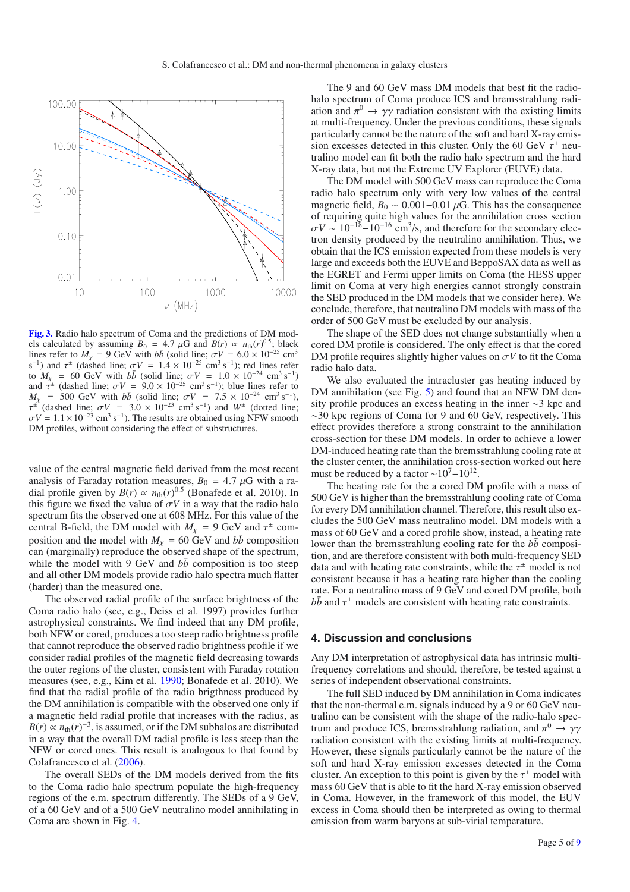

**[Fig. 3.](http://dexter.edpsciences.org/applet.php?DOI=10.1051/0004-6361/201014738&pdf_id=3)** Radio halo spectrum of Coma and the predictions of DM models calculated by assuming  $B_0 = 4.7 \mu$ G and  $B(r) \propto n_{\text{th}}(r)^{0.5}$ ; black lines refer to  $M_v = 9$  GeV with *bb* (solid line;  $\sigma V = 6.0 \times 10^{-25}$  cm<sup>3</sup> s<sup>-1</sup>) and  $\tau^{\pm}$  (dashed line;  $\sigma V = 1.4 \times 10^{-25}$  cm<sup>3</sup> s<sup>-1</sup>); red lines refer to  $M_{\chi} = 60$  GeV with  $b\bar{b}$  (solid line;  $\sigma V = 1.0 \times 10^{-24}$  cm<sup>3</sup> s<sup>-1</sup>) and  $\hat{\tau}^{\pm}$  (dashed line;  $\sigma V = 9.0 \times 10^{-25}$  cm<sup>3</sup> s<sup>-1</sup>); blue lines refer to  $M_{\chi}$  = 500 GeV with *bb*<sup> $\bar{b}$ </sup> (solid line;  $\sigma V$  = 7.5 × 10<sup>-24</sup> cm<sup>3</sup> s<sup>-1</sup>),  $\tau^{\pm}$  (dashed line;  $\sigma V = 3.0 \times 10^{-23}$  cm<sup>3</sup> s<sup>-1</sup>) and  $W^{\pm}$  (dotted line;  $\sigma V = 1.1 \times 10^{-23}$  cm<sup>3</sup> s<sup>-1</sup>). The results are obtained using NFW smooth DM profiles, without considering the effect of substructures.

value of the central magnetic field derived from the most recent analysis of Faraday rotation measures,  $B_0 = 4.7 \mu$ G with a radial profile given by  $B(r) \propto n_{\text{th}}(r)^{0.5}$  (Bonafede et al. 2010). In this figure we fixed the value of  $\sigma V$  in a way that the radio halo spectrum fits the observed one at 608 MHz. For this value of the central B-field, the DM model with  $M_{\chi} = 9$  GeV and  $\tau^{\pm}$  composition and the model with  $M_x = 60 \text{ GeV}$  and  $b\bar{b}$  composition can (marginally) reproduce the observed shape of the spectrum, while the model with 9 GeV and  $b\bar{b}$  composition is too steep and all other DM models provide radio halo spectra much flatter (harder) than the measured one.

The observed radial profile of the surface brightness of the Coma radio halo (see, e.g., Deiss et al. 1997) provides further astrophysical constraints. We find indeed that any DM profile, both NFW or cored, produces a too steep radio brightness profile that cannot reproduce the observed radio brightness profile if we consider radial profiles of the magnetic field decreasing towards the outer regions of the cluster, consistent with Faraday rotation measures (see, e.g., Kim et al. 1990; Bonafede et al. 2010). We find that the radial profile of the radio brigthness produced by the DM annihilation is compatible with the observed one only if a magnetic field radial profile that increases with the radius, as  $B(r) \propto n_{\text{th}}(r)^{-3}$ , is assumed, or if the DM subhalos are distributed in a way that the overall DM radial profile is less steep than the NFW or cored ones. This result is analogous to that found by Colafrancesco et al. (2006).

The overall SEDs of the DM models derived from the fits to the Coma radio halo spectrum populate the high-frequency regions of the e.m. spectrum differently. The SEDs of a 9 GeV, of a 60 GeV and of a 500 GeV neutralino model annihilating in Coma are shown in Fig. 4.

The 9 and 60 GeV mass DM models that best fit the radiohalo spectrum of Coma produce ICS and bremsstrahlung radiation and  $\pi^0 \rightarrow \gamma \gamma$  radiation consistent with the existing limits at multi-frequency. Under the previous conditions, these signals particularly cannot be the nature of the soft and hard X-ray emission excesses detected in this cluster. Only the 60 GeV  $\tau^{\pm}$  neutralino model can fit both the radio halo spectrum and the hard X-ray data, but not the Extreme UV Explorer (EUVE) data.

The DM model with 500 GeV mass can reproduce the Coma radio halo spectrum only with very low values of the central magnetic field,  $B_0 \sim 0.001 - 0.01 \mu$ G. This has the consequence of requiring quite high values for the annihilation cross section  $\sigma V \sim 10^{-18} - 10^{-16}$  cm<sup>3</sup>/s, and therefore for the secondary electron density produced by the neutralino annihilation. Thus, we obtain that the ICS emission expected from these models is very large and exceeds both the EUVE and BeppoSAX data as well as the EGRET and Fermi upper limits on Coma (the HESS upper limit on Coma at very high energies cannot strongly constrain the SED produced in the DM models that we consider here). We conclude, therefore, that neutralino DM models with mass of the order of 500 GeV must be excluded by our analysis.

The shape of the SED does not change substantially when a cored DM profile is considered. The only effect is that the cored DM profile requires slightly higher values on  $\sigma V$  to fit the Coma radio halo data.

We also evaluated the intracluster gas heating induced by DM annihilation (see Fig. 5) and found that an NFW DM density profile produces an excess heating in the inner ∼3 kpc and ∼30 kpc regions of Coma for 9 and 60 GeV, respectively. This effect provides therefore a strong constraint to the annihilation cross-section for these DM models. In order to achieve a lower DM-induced heating rate than the bremsstrahlung cooling rate at the cluster center, the annihilation cross-section worked out here must be reduced by a factor  $\sim 10^7 - 10^{12}$ .

The heating rate for the a cored DM profile with a mass of 500 GeV is higher than the bremsstrahlung cooling rate of Coma for every DM annihilation channel. Therefore, this result also excludes the 500 GeV mass neutralino model. DM models with a mass of 60 GeV and a cored profile show, instead, a heating rate lower than the bremsstrahlung cooling rate for the  $b\bar{b}$  composition, and are therefore consistent with both multi-frequency SED data and with heating rate constraints, while the  $\tau^{\pm}$  model is not consistent because it has a heating rate higher than the cooling rate. For a neutralino mass of 9 GeV and cored DM profile, both  $b\bar{b}$  and  $\tau^{\pm}$  models are consistent with heating rate constraints.

#### **4. Discussion and conclusions**

Any DM interpretation of astrophysical data has intrinsic multifrequency correlations and should, therefore, be tested against a series of independent observational constraints.

The full SED induced by DM annihilation in Coma indicates that the non-thermal e.m. signals induced by a 9 or 60 GeV neutralino can be consistent with the shape of the radio-halo spectrum and produce ICS, bremsstrahlung radiation, and  $\pi^0 \rightarrow \gamma \gamma$ radiation consistent with the existing limits at multi-frequency. However, these signals particularly cannot be the nature of the soft and hard X-ray emission excesses detected in the Coma cluster. An exception to this point is given by the  $\tau^{\pm}$  model with mass 60 GeV that is able to fit the hard X-ray emission observed in Coma. However, in the framework of this model, the EUV excess in Coma should then be interpreted as owing to thermal emission from warm baryons at sub-virial temperature.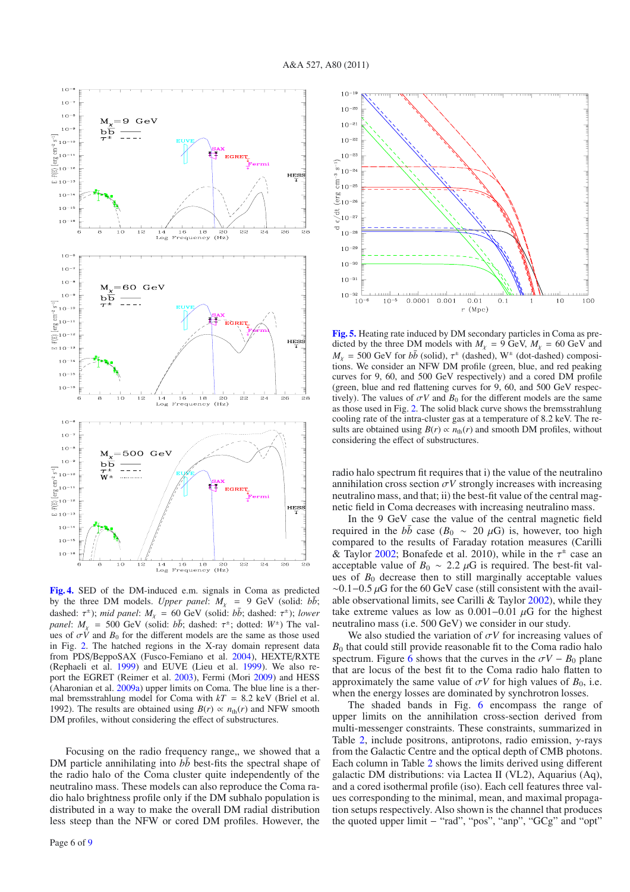

**[Fig. 4.](http://dexter.edpsciences.org/applet.php?DOI=10.1051/0004-6361/201014738&pdf_id=4)** SED of the DM-induced e.m. signals in Coma as predicted by the three DM models. *Upper panel*:  $M_x = 9$  GeV (solid:  $b\bar{b}$ ; dashed:  $\tau^{\pm}$ ); *mid panel*:  $M_{\chi} = 60 \text{ GeV}$  (solid:  $b\bar{b}$ ; dashed:  $\tau^{\pm}$ ); *lower panel*:  $M_{\chi}$  = 500 GeV (solid:  $b\bar{b}$ ; dashed:  $\tau^{\pm}$ ; dotted:  $W^{\pm}$ ) The values of  $\sigma V$  and  $B_0$  for the different models are the same as those used in Fig. 2. The hatched regions in the X-ray domain represent data from PDS/BeppoSAX (Fusco-Femiano et al. 2004), HEXTE/RXTE (Rephaeli et al. 1999) and EUVE (Lieu et al. 1999). We also report the EGRET (Reimer et al. 2003), Fermi (Mori 2009) and HESS (Aharonian et al. 2009a) upper limits on Coma. The blue line is a thermal bremsstrahlung model for Coma with  $kT = 8.2$  keV (Briel et al. 1992). The results are obtained using  $B(r) \propto n_{\text{th}}(r)$  and NFW smooth DM profiles, without considering the effect of substructures.

Focusing on the radio frequency range,, we showed that a DM particle annihilating into  $b\bar{b}$  best-fits the spectral shape of the radio halo of the Coma cluster quite independently of the neutralino mass. These models can also reproduce the Coma radio halo brightness profile only if the DM subhalo population is distributed in a way to make the overall DM radial distribution less steep than the NFW or cored DM profiles. However, the



**[Fig. 5.](http://dexter.edpsciences.org/applet.php?DOI=10.1051/0004-6361/201014738&pdf_id=5)** Heating rate induced by DM secondary particles in Coma as predicted by the three DM models with  $M_{\chi} = 9$  GeV,  $M_{\chi} = 60$  GeV and  $M<sub>x</sub> = 500$  GeV for  $b\bar{b}$  (solid),  $\tau^{\pm}$  (dashed), W<sup> $\pm$ </sup> (dot-dashed) compositions. We consider an NFW DM profile (green, blue, and red peaking curves for 9, 60, and 500 GeV respectively) and a cored DM profile (green, blue and red flattening curves for 9, 60, and 500 GeV respectively). The values of  $\sigma V$  and  $B_0$  for the different models are the same as those used in Fig. 2. The solid black curve shows the bremsstrahlung cooling rate of the intra-cluster gas at a temperature of 8.2 keV. The results are obtained using  $B(r) \propto n_{\text{th}}(r)$  and smooth DM profiles, without considering the effect of substructures.

radio halo spectrum fit requires that i) the value of the neutralino annihilation cross section  $\sigma V$  strongly increases with increasing neutralino mass, and that; ii) the best-fit value of the central magnetic field in Coma decreases with increasing neutralino mass.

In the 9 GeV case the value of the central magnetic field required in the  $b\bar{b}$  case ( $B_0 \sim 20 \mu\text{G}$ ) is, however, too high compared to the results of Faraday rotation measures (Carilli & Taylor 2002; Bonafede et al. 2010), while in the  $\tau^{\pm}$  case an acceptable value of  $B_0 \sim 2.2 \mu$ G is required. The best-fit values of  $B_0$  decrease then to still marginally acceptable values  $\sim$ 0.1–0.5 µG for the 60 GeV case (still consistent with the available observational limits, see Carilli & Taylor 2002), while they take extreme values as low as  $0.001-0.01 \mu$ G for the highest neutralino mass (i.e. 500 GeV) we consider in our study.

We also studied the variation of  $\sigma V$  for increasing values of  $B<sub>0</sub>$  that could still provide reasonable fit to the Coma radio halo spectrum. Figure 6 shows that the curves in the  $\sigma V - B_0$  plane that are locus of the best fit to the Coma radio halo flatten to approximately the same value of  $\sigma V$  for high values of  $B_0$ , i.e. when the energy losses are dominated by synchrotron losses.

The shaded bands in Fig. 6 encompass the range of upper limits on the annihilation cross-section derived from multi-messenger constraints. These constraints, summarized in Table 2, include positrons, antiprotons, radio emission,  $\gamma$ -rays from the Galactic Centre and the optical depth of CMB photons. Each column in Table 2 shows the limits derived using different galactic DM distributions: via Lactea II (VL2), Aquarius (Aq), and a cored isothermal profile (iso). Each cell features three values corresponding to the minimal, mean, and maximal propagation setups respectively. Also shown is the channel that produces the quoted upper limit − "rad", "pos", "anp", "GCg" and "opt"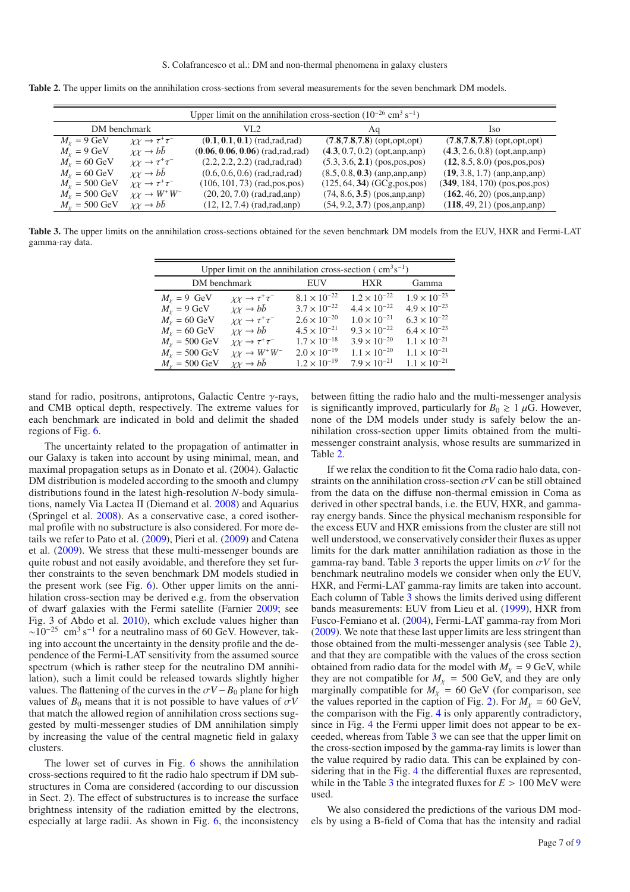|                           | Upper limit on the annihilation cross-section $(10^{-26} \text{ cm}^3 \text{ s}^{-1})$ |                                      |                                   |                                   |  |  |  |  |
|---------------------------|----------------------------------------------------------------------------------------|--------------------------------------|-----------------------------------|-----------------------------------|--|--|--|--|
| DM benchmark              |                                                                                        | VL 2.                                | Aq                                | Iso                               |  |  |  |  |
| $M_{\chi} = 9$ GeV        | $\chi \chi \to \tau^+ \tau^-$                                                          | $(0.1, 0.1, 0.1)$ (rad, rad, rad)    | $(7.8, 7.8, 7.8)$ (opt, opt, opt) | $(7.8, 7.8, 7.8)$ (opt, opt, opt) |  |  |  |  |
| $M_v = 9$ GeV             | $\chi \chi \to bb$                                                                     | $(0.06, 0.06, 0.06)$ (rad, rad, rad) | $(4.3, 0.7, 0.2)$ (opt, anp, anp) | $(4.3, 2.6, 0.8)$ (opt, anp, anp) |  |  |  |  |
| $M_v = 60$ GeV            | $\chi\chi \to \tau^+\tau^-$                                                            | $(2.2, 2.2, 2.2)$ (rad, rad, rad)    | $(5.3, 3.6, 2.1)$ (pos, pos, pos) | $(12, 8.5, 8.0)$ (pos, pos, pos)  |  |  |  |  |
| $M_v = 60$ GeV            | $\chi \chi \to b\bar{b}$                                                               | $(0.6, 0.6, 0.6)$ (rad, rad, rad)    | $(8.5, 0.8, 0.3)$ (anp, anp, anp) | $(19, 3.8, 1.7)$ (anp, anp, anp)  |  |  |  |  |
| $M_v = 500 \text{ GeV}$   | $\chi \chi \to \tau^+ \tau^-$                                                          | $(106, 101, 73)$ (rad, pos, pos)     | $(125, 64, 34)$ (GCg, pos, pos)   | $(349, 184, 170)$ (pos, pos, pos) |  |  |  |  |
| $M_{v} = 500 \text{ GeV}$ | $\chi \chi \to W^+ W^-$                                                                | $(20, 20, 7.0)$ (rad, rad, and)      | $(74, 8.6, 3.5)$ (pos, anp, anp)  | $(162, 46, 20)$ (pos, anp, anp)   |  |  |  |  |
| $M_v = 500 \text{ GeV}$   | $\chi \chi \to bb$                                                                     | $(12, 12, 7.4)$ (rad, rad, and)      | $(54, 9.2, 3.7)$ (pos, anp, anp)  | $(118, 49, 21)$ (pos, anp, anp)   |  |  |  |  |

**Table 2.** The upper limits on the annihilation cross-sections from several measurements for the seven benchmark DM models.

**Table 3.** The upper limits on the annihilation cross-sections obtained for the seven benchmark DM models from the EUV, HXR and Fermi-LAT gamma-ray data.

| Upper limit on the annihilation cross-section ( $\text{cm}^3\text{s}^{-1}$ ) |                             |                       |                       |                       |  |  |  |
|------------------------------------------------------------------------------|-----------------------------|-----------------------|-----------------------|-----------------------|--|--|--|
| DM benchmark                                                                 |                             | EUV                   | <b>HXR</b>            | Gamma                 |  |  |  |
| $M_v = 9$ GeV                                                                | $\chi\chi \to \tau^+\tau^-$ | $8.1 \times 10^{-22}$ | $1.2 \times 10^{-22}$ | $1.9 \times 10^{-23}$ |  |  |  |
| $M_x = 9$ GeV                                                                | $\chi\chi \to bb$           | $3.7 \times 10^{-22}$ | $4.4 \times 10^{-22}$ | $4.9 \times 10^{-23}$ |  |  |  |
| $M_v = 60$ GeV                                                               | $\chi\chi \to \tau^+\tau^-$ | $2.6 \times 10^{-20}$ | $1.0 \times 10^{-21}$ | $6.3 \times 10^{-22}$ |  |  |  |
| $M_x = 60$ GeV                                                               | $\chi\chi \to bb$           | $4.5 \times 10^{-21}$ | $9.3 \times 10^{-22}$ | $6.4 \times 10^{-23}$ |  |  |  |
| $M_{Y} = 500 \text{ GeV}$                                                    | $\chi\chi \to \tau^+\tau^-$ | $1.7 \times 10^{-18}$ | $3.9 \times 10^{-20}$ | $1.1 \times 10^{-21}$ |  |  |  |
| $M_{Y} = 500 \text{ GeV}$                                                    | $\chi \chi \to W^+ W^-$     | $2.0 \times 10^{-19}$ | $1.1 \times 10^{-20}$ | $1.1 \times 10^{-21}$ |  |  |  |
| $M_v = 500 \text{ GeV}$                                                      | $\chi \chi \to b\bar{b}$    | $1.2 \times 10^{-19}$ | $7.9 \times 10^{-21}$ | $1.1 \times 10^{-21}$ |  |  |  |

stand for radio, positrons, antiprotons, Galactic Centre  $\gamma$ -rays, and CMB optical depth, respectively. The extreme values for each benchmark are indicated in bold and delimit the shaded regions of Fig. 6.

The uncertainty related to the propagation of antimatter in our Galaxy is taken into account by using minimal, mean, and maximal propagation setups as in Donato et al. (2004). Galactic DM distribution is modeled according to the smooth and clumpy distributions found in the latest high-resolution *N*-body simulations, namely Via Lactea II (Diemand et al. 2008) and Aquarius (Springel et al. 2008). As a conservative case, a cored isothermal profile with no substructure is also considered. For more details we refer to Pato et al. (2009), Pieri et al. (2009) and Catena et al. (2009). We stress that these multi-messenger bounds are quite robust and not easily avoidable, and therefore they set further constraints to the seven benchmark DM models studied in the present work (see Fig. 6). Other upper limits on the annihilation cross-section may be derived e.g. from the observation of dwarf galaxies with the Fermi satellite (Farnier 2009; see Fig. 3 of Abdo et al. 2010), which exclude values higher than  $\sim 10^{-25}$  cm<sup>3</sup> s<sup>-1</sup> for a neutralino mass of 60 GeV. However, taking into account the uncertainty in the density profile and the dependence of the Fermi-LAT sensitivity from the assumed source spectrum (which is rather steep for the neutralino DM annihilation), such a limit could be released towards slightly higher values. The flattening of the curves in the  $\sigma V - B_0$  plane for high values of  $B_0$  means that it is not possible to have values of  $\sigma V$ that match the allowed region of annihilation cross sections suggested by multi-messenger studies of DM annihilation simply by increasing the value of the central magnetic field in galaxy clusters.

The lower set of curves in Fig. 6 shows the annihilation cross-sections required to fit the radio halo spectrum if DM substructures in Coma are considered (according to our discussion in Sect. 2). The effect of substructures is to increase the surface brightness intensity of the radiation emitted by the electrons, especially at large radii. As shown in Fig. 6, the inconsistency

between fitting the radio halo and the multi-messenger analysis is significantly improved, particularly for  $B_0 \geq 1 \mu$ G. However, none of the DM models under study is safely below the annihilation cross-section upper limits obtained from the multimessenger constraint analysis, whose results are summarized in Table 2.

If we relax the condition to fit the Coma radio halo data, constraints on the annihilation cross-section  $\sigma V$  can be still obtained from the data on the diffuse non-thermal emission in Coma as derived in other spectral bands, i.e. the EUV, HXR, and gammaray energy bands. Since the physical mechanism responsible for the excess EUV and HXR emissions from the cluster are still not well understood, we conservatively consider their fluxes as upper limits for the dark matter annihilation radiation as those in the gamma-ray band. Table 3 reports the upper limits on  $\sigma V$  for the benchmark neutralino models we consider when only the EUV, HXR, and Fermi-LAT gamma-ray limits are taken into account. Each column of Table 3 shows the limits derived using different bands measurements: EUV from Lieu et al. (1999), HXR from Fusco-Femiano et al. (2004), Fermi-LAT gamma-ray from Mori (2009). We note that these last upper limits are less stringent than those obtained from the multi-messenger analysis (see Table 2), and that they are compatible with the values of the cross section obtained from radio data for the model with  $M<sub>x</sub> = 9$  GeV, while they are not compatible for  $M_X$  = 500 GeV, and they are only marginally compatible for  $M_{\chi}$  = 60 GeV (for comparison, see the values reported in the caption of Fig. 2). For  $M<sub>x</sub> = 60$  GeV, the comparison with the Fig. 4 is only apparently contradictory, since in Fig. 4 the Fermi upper limit does not appear to be exceeded, whereas from Table 3 we can see that the upper limit on the cross-section imposed by the gamma-ray limits is lower than the value required by radio data. This can be explained by considering that in the Fig. 4 the differential fluxes are represented, while in the Table 3 the integrated fluxes for  $E > 100 \text{ MeV}$  were used.

We also considered the predictions of the various DM models by using a B-field of Coma that has the intensity and radial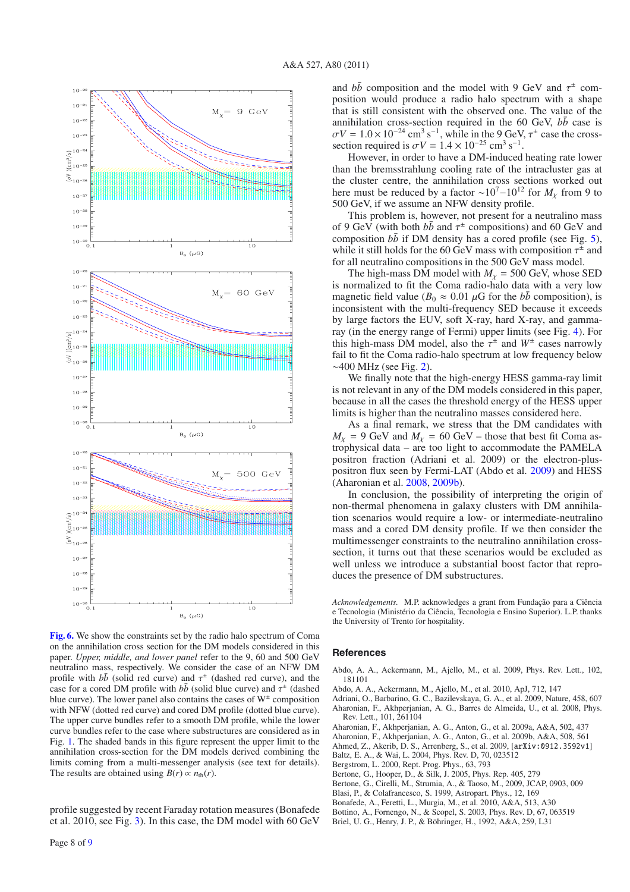

**[Fig. 6.](http://dexter.edpsciences.org/applet.php?DOI=10.1051/0004-6361/201014738&pdf_id=6)** We show the constraints set by the radio halo spectrum of Coma on the annihilation cross section for the DM models considered in this paper. *Upper, middle, and lower panel* refer to the 9, 60 and 500 GeV neutralino mass, respectively. We consider the case of an NFW DM profile with  $b\bar{b}$  (solid red curve) and  $\tau^{\pm}$  (dashed red curve), and the case for a cored DM profile with  $b\bar{b}$  (solid blue curve) and  $\tau^{\pm}$  (dashed blue curve). The lower panel also contains the cases of  $W^{\pm}$  composition with NFW (dotted red curve) and cored DM profile (dotted blue curve). The upper curve bundles refer to a smooth DM profile, while the lower curve bundles refer to the case where substructures are considered as in Fig. 1. The shaded bands in this figure represent the upper limit to the annihilation cross-section for the DM models derived combining the limits coming from a multi-messenger analysis (see text for details). The results are obtained using  $B(r) \propto n_{\text{th}}(r)$ .

profile suggested by recent Faraday rotation measures (Bonafede et al. 2010, see Fig. 3). In this case, the DM model with 60 GeV

Page 8 of 9

and  $b\bar{b}$  composition and the model with 9 GeV and  $\tau^{\pm}$  composition would produce a radio halo spectrum with a shape that is still consistent with the observed one. The value of the annihilation cross-section required in the 60 GeV,  $b\bar{b}$  case is  $\sigma V = 1.0 \times 10^{-24}$  cm<sup>3</sup> s<sup>-1</sup>, while in the 9 GeV,  $\tau^{\pm}$  case the crosssection required is  $\sigma V = 1.4 \times 10^{-25}$  cm<sup>3</sup> s<sup>-1</sup>.

However, in order to have a DM-induced heating rate lower than the bremsstrahlung cooling rate of the intracluster gas at the cluster centre, the annihilation cross sections worked out here must be reduced by a factor ~10<sup>7</sup>−10<sup>12</sup> for  $M_v$  from 9 to 500 GeV, if we assume an NFW density profile.

This problem is, however, not present for a neutralino mass of 9 GeV (with both  $b\bar{b}$  and  $\tau^{\pm}$  compositions) and 60 GeV and composition  $b\bar{b}$  if DM density has a cored profile (see Fig. 5), while it still holds for the 60 GeV mass with composition  $\tau^{\pm}$  and for all neutralino compositions in the 500 GeV mass model.

The high-mass DM model with  $M<sub>x</sub> = 500$  GeV, whose SED is normalized to fit the Coma radio-halo data with a very low magnetic field value ( $B_0 \approx 0.01 \mu$ G for the  $b\bar{b}$  composition), is inconsistent with the multi-frequency SED because it exceeds by large factors the EUV, soft X-ray, hard X-ray, and gammaray (in the energy range of Fermi) upper limits (see Fig. 4). For this high-mass DM model, also the  $\tau^{\pm}$  and  $W^{\pm}$  cases narrowly fail to fit the Coma radio-halo spectrum at low frequency below ∼400 MHz (see Fig. 2).

We finally note that the high-energy HESS gamma-ray limit is not relevant in any of the DM models considered in this paper, because in all the cases the threshold energy of the HESS upper limits is higher than the neutralino masses considered here.

As a final remark, we stress that the DM candidates with  $M<sub>y</sub> = 9$  GeV and  $M<sub>y</sub> = 60$  GeV – those that best fit Coma astrophysical data – are too light to accommodate the PAMELA positron fraction (Adriani et al. 2009) or the electron-pluspositron flux seen by Fermi-LAT (Abdo et al. 2009) and HESS (Aharonian et al. 2008, 2009b).

In conclusion, the possibility of interpreting the origin of non-thermal phenomena in galaxy clusters with DM annihilation scenarios would require a low- or intermediate-neutralino mass and a cored DM density profile. If we then consider the multimessenger constraints to the neutralino annihilation crosssection, it turns out that these scenarios would be excluded as well unless we introduce a substantial boost factor that reproduces the presence of DM substructures.

*Acknowledgements.* M.P. acknowledges a grant from Fundação para a Ciência e Tecnologia (Ministério da Ciência, Tecnologia e Ensino Superior). L.P. thanks the University of Trento for hospitality.

#### **References**

- Abdo, A. A., Ackermann, M., Ajello, M., et al. 2009, Phys. Rev. Lett., 102, 181101
- Abdo, A. A., Ackermann, M., Ajello, M., et al. 2010, ApJ, 712, 147
- Adriani, O., Barbarino, G. C., Bazilevskaya, G. A., et al. 2009, Nature, 458, 607 Aharonian, F., Akhperjanian, A. G., Barres de Almeida, U., et al. 2008, Phys.
- Rev. Lett., 101, 261104
- Aharonian, F., Akhperjanian, A. G., Anton, G., et al. 2009a, A&A, 502, 437
- Aharonian, F., Akhperjanian, A. G., Anton, G., et al. 2009b, A&A, 508, 561
- Ahmed, Z., Akerib, D. S., Arrenberg, S., et al. 2009, [arXiv:0912.3592v1] Baltz, E. A., & Wai, L. 2004, Phys. Rev. D, 70, 023512
- Bergstrom, L. 2000, Rept. Prog. Phys., 63, 793
- Bertone, G., Hooper, D., & Silk, J. 2005, Phys. Rep. 405, 279
- Bertone, G., Cirelli, M., Strumia, A., & Taoso, M., 2009, JCAP, 0903, 009
- Blasi, P., & Colafrancesco, S. 1999, Astropart. Phys., 12, 169
- Bonafede, A., Feretti, L., Murgia, M., et al. 2010, A&A, 513, A30
- Bottino, A., Fornengo, N., & Scopel, S. 2003, Phys. Rev. D, 67, 063519
- Briel, U. G., Henry, J. P., & Böhringer, H., 1992, A&A, 259, L31